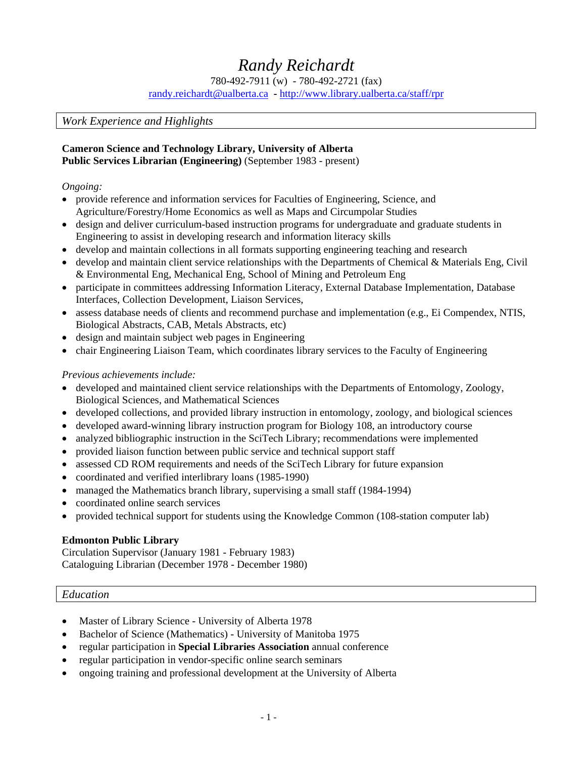# *Randy Reichardt*

780-492-7911 (w) - 780-492-2721 (fax)

[randy.reichardt@ualberta.ca](mailto:randy.reichardt@ualberta.ca) **-** [http://www.library.ualberta.ca/staff/rpr](http://www.library.ualberta.ca/staff/rpr/)

#### *Work Experience and Highlights*

## **Cameron Science and Technology Library, University of Alberta**

**Public Services Librarian (Engineering)** (September 1983 - present)

#### *Ongoing:*

- provide reference and information services for Faculties of Engineering, Science, and Agriculture/Forestry/Home Economics as well as Maps and Circumpolar Studies
- design and deliver curriculum-based instruction programs for undergraduate and graduate students in Engineering to assist in developing research and information literacy skills
- develop and maintain collections in all formats supporting engineering teaching and research
- develop and maintain client service relationships with the Departments of Chemical & Materials Eng, Civil & Environmental Eng, Mechanical Eng, School of Mining and Petroleum Eng
- participate in committees addressing Information Literacy, External Database Implementation, Database Interfaces, Collection Development, Liaison Services,
- assess database needs of clients and recommend purchase and implementation (e.g., Ei Compendex, NTIS, Biological Abstracts, CAB, Metals Abstracts, etc)
- design and maintain subject web pages in Engineering
- chair Engineering Liaison Team, which coordinates library services to the Faculty of Engineering

## *Previous achievements include:*

- developed and maintained client service relationships with the Departments of Entomology, Zoology, Biological Sciences, and Mathematical Sciences
- developed collections, and provided library instruction in entomology, zoology, and biological sciences
- developed award-winning library instruction program for Biology 108, an introductory course
- analyzed bibliographic instruction in the SciTech Library; recommendations were implemented
- provided liaison function between public service and technical support staff
- assessed CD ROM requirements and needs of the SciTech Library for future expansion
- coordinated and verified interlibrary loans (1985-1990)
- managed the Mathematics branch library, supervising a small staff (1984-1994)
- coordinated online search services
- provided technical support for students using the Knowledge Common (108-station computer lab)

#### **Edmonton Public Library**

Circulation Supervisor (January 1981 - February 1983) Cataloguing Librarian (December 1978 - December 1980)

## *Education*

- Master of Library Science University of Alberta 1978
- Bachelor of Science (Mathematics) University of Manitoba 1975
- regular participation in **Special Libraries Association** annual conference
- regular participation in vendor-specific online search seminars
- ongoing training and professional development at the University of Alberta